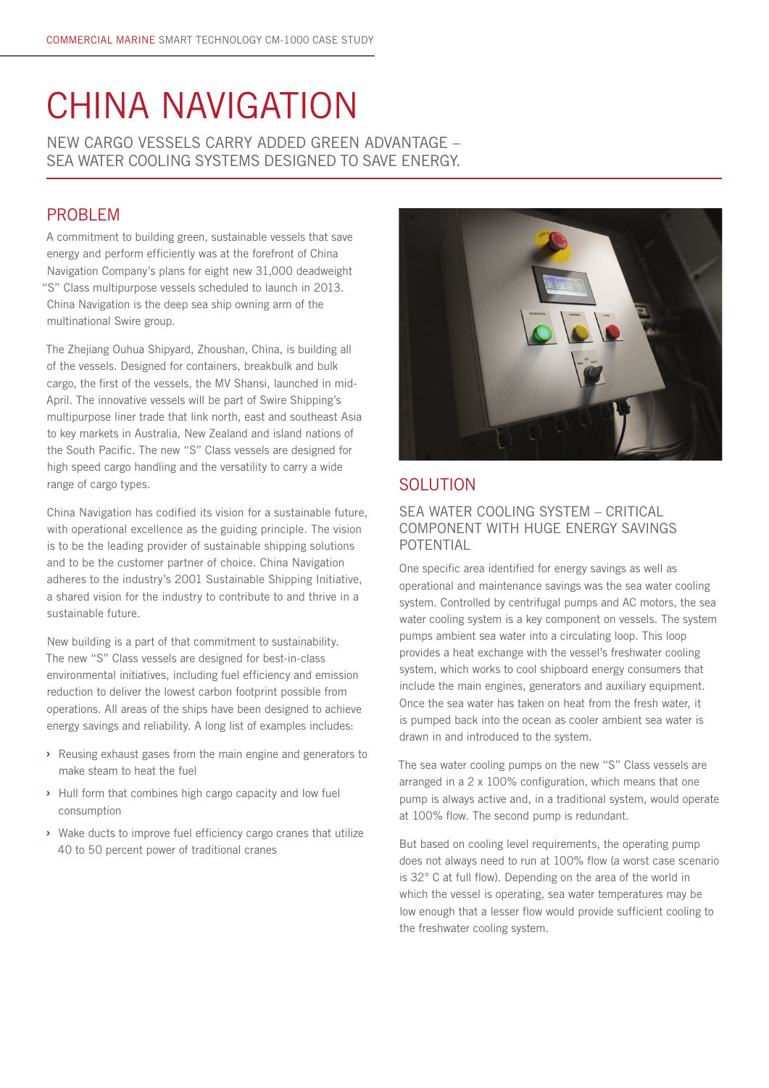# CHINA NAVIGATION

NEW CARGO VESSELS CARRY ADDED GREEN ADVANTAGE – SEA WATER COOLING SYSTEMS DESIGNED TO SAVE ENERGY.

## PROBLEM

A commitment to building green, sustainable vessels that save energy and perform efficiently was at the forefront of China Navigation Company's plans for eight new 31,000 deadweight "S" Class multipurpose vessels scheduled to launch in 2013. China Navigation is the deep sea ship owning arm of the multinational Swire group.

The Zhejiang Ouhua Shipyard, Zhoushan, China, is building all of the vessels. Designed for containers, breakbulk and bulk cargo, the first of the vessels, the MV Shansi, launched in mid-April. The innovative vessels will be part of Swire Shipping's multipurpose liner trade that link north, east and southeast Asia to key markets in Australia, New Zealand and island nations of the South Pacific. The new "S" Class vessels are designed for high speed cargo handling and the versatility to carry a wide range of cargo types.

China Navigation has codified its vision for a sustainable future, with operational excellence as the guiding principle. The vision is to be the leading provider of sustainable shipping solutions and to be the customer partner of choice. China Navigation adheres to the industry's 2001 Sustainable Shipping Initiative, a shared vision for the industry to contribute to and thrive in a sustainable future.

New building is a part of that commitment to sustainability. The new "S" Class vessels are designed for best-in-class environmental initiatives, including fuel efficiency and emission reduction to deliver the lowest carbon footprint possible from operations. All areas of the ships have been designed to achieve energy savings and reliability. A long list of examples includes:

- **›** Reusing exhaust gases from the main engine and generators to make steam to heat the fuel
- **›** Hull form that combines high cargo capacity and low fuel consumption
- **›** Wake ducts to improve fuel efficiency cargo cranes that utilize 40 to 50 percent power of traditional cranes



## SOLUTION

## SEA WATER COOLING SYSTEM – CRITICAL COMPONENT WITH HUGE ENERGY SAVINGS POTENTIAL

One specific area identified for energy savings as well as operational and maintenance savings was the sea water cooling system. Controlled by centrifugal pumps and AC motors, the sea water cooling system is a key component on vessels. The system pumps ambient sea water into a circulating loop. This loop provides a heat exchange with the vessel's freshwater cooling system, which works to cool shipboard energy consumers that include the main engines, generators and auxiliary equipment. Once the sea water has taken on heat from the fresh water, it is pumped back into the ocean as cooler ambient sea water is drawn in and introduced to the system.

The sea water cooling pumps on the new "S" Class vessels are arranged in a 2 x 100% configuration, which means that one pump is always active and, in a traditional system, would operate at 100% flow. The second pump is redundant.

But based on cooling level requirements, the operating pump does not always need to run at 100% flow (a worst case scenario is 32° C at full flow). Depending on the area of the world in which the vessel is operating, sea water temperatures may be low enough that a lesser flow would provide sufficient cooling to the freshwater cooling system.